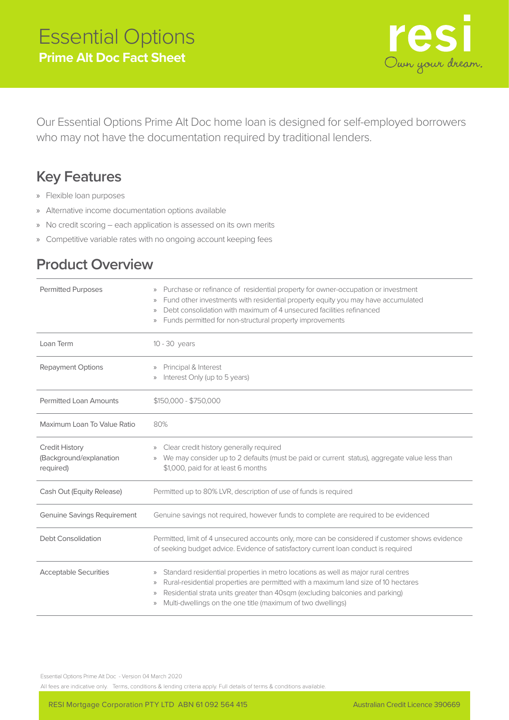

Our Essential Options Prime Alt Doc home loan is designed for self-employed borrowers who may not have the documentation required by traditional lenders.

## **Key Features**

- » Flexible loan purposes
- » Alternative income documentation options available
- » No credit scoring each application is assessed on its own merits
- » Competitive variable rates with no ongoing account keeping fees

## **Product Overview**

| <b>Permitted Purposes</b>                                     | Purchase or refinance of residential property for owner-occupation or investment<br>$\rangle$<br>Fund other investments with residential property equity you may have accumulated<br>$\rangle\rangle$<br>Debt consolidation with maximum of 4 unsecured facilities refinanced<br>$\rangle\rangle$<br>Funds permitted for non-structural property improvements<br>$\rangle\rangle$             |
|---------------------------------------------------------------|-----------------------------------------------------------------------------------------------------------------------------------------------------------------------------------------------------------------------------------------------------------------------------------------------------------------------------------------------------------------------------------------------|
| Loan Term                                                     | $10 - 30$ years                                                                                                                                                                                                                                                                                                                                                                               |
| <b>Repayment Options</b>                                      | Principal & Interest<br>$\rangle\rangle$<br>Interest Only (up to 5 years)<br>$\rangle\rangle$                                                                                                                                                                                                                                                                                                 |
| <b>Permitted Loan Amounts</b>                                 | $$150,000 - $750,000$                                                                                                                                                                                                                                                                                                                                                                         |
| Maximum Loan To Value Ratio                                   | 80%                                                                                                                                                                                                                                                                                                                                                                                           |
| <b>Credit History</b><br>(Background/explanation<br>required) | Clear credit history generally required<br>$\rangle$<br>We may consider up to 2 defaults (must be paid or current status), aggregate value less than<br>$\rangle\rangle$<br>\$1,000, paid for at least 6 months                                                                                                                                                                               |
| Cash Out (Equity Release)                                     | Permitted up to 80% LVR, description of use of funds is required                                                                                                                                                                                                                                                                                                                              |
| <b>Genuine Savings Requirement</b>                            | Genuine savings not required, however funds to complete are required to be evidenced                                                                                                                                                                                                                                                                                                          |
| Debt Consolidation                                            | Permitted, limit of 4 unsecured accounts only, more can be considered if customer shows evidence<br>of seeking budget advice. Evidence of satisfactory current loan conduct is required                                                                                                                                                                                                       |
| <b>Acceptable Securities</b>                                  | Standard residential properties in metro locations as well as major rural centres<br>$\rangle\!\rangle$<br>Rural-residential properties are permitted with a maximum land size of 10 hectares<br>$\rangle$<br>Residential strata units greater than 40sqm (excluding balconies and parking)<br>$\rangle\!\rangle$<br>Multi-dwellings on the one title (maximum of two dwellings)<br>$\rangle$ |

Essential Options Prime Alt Doc - Version 04 March 2020

All fees are indicative only. Terms, conditions & lending criteria apply. Full details of terms & conditions available.